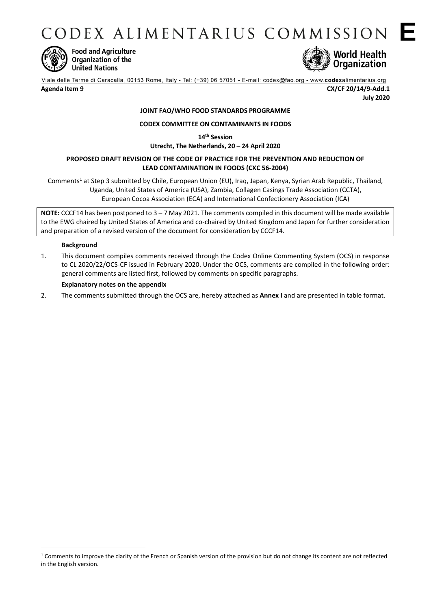CODEX ALIMENTARIUS COMMISSION E



**Food and Agriculture** Organization of the **United Nations** 



**Agenda Item 9 CX/CF 20/14/9-Add.1 July 2020**

# **JOINT FAO/WHO FOOD STANDARDS PROGRAMME**

## **CODEX COMMITTEE ON CONTAMINANTS IN FOODS**

**14th Session**

**Utrecht, The Netherlands, 20 – 24 April 2020**

### **PROPOSED DRAFT REVISION OF THE CODE OF PRACTICE FOR THE PREVENTION AND REDUCTION OF LEAD CONTAMINATION IN FOODS (CXC 56-2004)**

Comments<sup>1</sup> at Step 3 submitted by Chile, European Union (EU), Iraq, Japan, Kenya, Syrian Arab Republic, Thailand, Uganda, United States of America (USA), Zambia[, Collagen Casings Trade Association](http://www.fao.org/fao-who-codexalimentarius/about-codex/observers/detail/en/c/79727/) (CCTA), European Cocoa Association (ECA) and International Confectionery Association (ICA)

**NOTE:** CCCF14 has been postponed to 3 – 7 May 2021. The comments compiled in this document will be made available to the EWG chaired by United States of America and co-chaired by United Kingdom and Japan for further consideration and preparation of a revised version of the document for consideration by CCCF14.

#### **Background**

1

1. This document compiles comments received through the Codex Online Commenting System (OCS) in response to CL 2020/22/OCS-CF issued in February 2020. Under the OCS, comments are compiled in the following order: general comments are listed first, followed by comments on specific paragraphs.

#### **Explanatory notes on the appendix**

2. The comments submitted through the OCS are, hereby attached as **Annex I** and are presented in table format.

<sup>&</sup>lt;sup>1</sup> Comments to improve the clarity of the French or Spanish version of the provision but do not change its content are not reflected in the English version.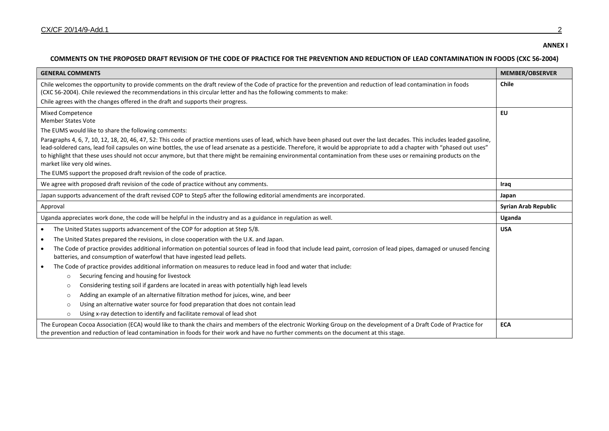#### **ANNEX I**

## **COMMENTS ON THE PROPOSED DRAFT REVISION OF THE CODE OF PRACTICE FOR THE PREVENTION AND REDUCTION OF LEAD CONTAMINATION IN FOODS (CXC 56-2004)**

| <b>GENERAL COMMENTS</b>                                                                                                                                                                                                                                                                                                                                                                                                                                                                                                                                                                                                                           | <b>MEMBER/OBSERVER</b>      |
|---------------------------------------------------------------------------------------------------------------------------------------------------------------------------------------------------------------------------------------------------------------------------------------------------------------------------------------------------------------------------------------------------------------------------------------------------------------------------------------------------------------------------------------------------------------------------------------------------------------------------------------------------|-----------------------------|
| Chile welcomes the opportunity to provide comments on the draft review of the Code of practice for the prevention and reduction of lead contamination in foods<br>(CXC 56-2004). Chile reviewed the recommendations in this circular letter and has the following comments to make:                                                                                                                                                                                                                                                                                                                                                               | <b>Chile</b>                |
| Chile agrees with the changes offered in the draft and supports their progress.                                                                                                                                                                                                                                                                                                                                                                                                                                                                                                                                                                   |                             |
| <b>Mixed Competence</b><br><b>Member States Vote</b><br>The EUMS would like to share the following comments:<br>Paragraphs 4, 6, 7, 10, 12, 18, 20, 46, 47, 52: This code of practice mentions uses of lead, which have been phased out over the last decades. This includes leaded gasoline,<br>lead-soldered cans, lead foil capsules on wine bottles, the use of lead arsenate as a pesticide. Therefore, it would be appropriate to add a chapter with "phased out uses"<br>to highlight that these uses should not occur anymore, but that there might be remaining environmental contamination from these uses or remaining products on the | <b>EU</b>                   |
| market like very old wines.<br>The EUMS support the proposed draft revision of the code of practice.                                                                                                                                                                                                                                                                                                                                                                                                                                                                                                                                              |                             |
| We agree with proposed draft revision of the code of practice without any comments.                                                                                                                                                                                                                                                                                                                                                                                                                                                                                                                                                               | Iraq                        |
| Japan supports advancement of the draft revised COP to Step5 after the following editorial amendments are incorporated.                                                                                                                                                                                                                                                                                                                                                                                                                                                                                                                           | Japan                       |
|                                                                                                                                                                                                                                                                                                                                                                                                                                                                                                                                                                                                                                                   |                             |
| Approval                                                                                                                                                                                                                                                                                                                                                                                                                                                                                                                                                                                                                                          | <b>Syrian Arab Republic</b> |
| Uganda appreciates work done, the code will be helpful in the industry and as a guidance in regulation as well.                                                                                                                                                                                                                                                                                                                                                                                                                                                                                                                                   | Uganda                      |
| The United States supports advancement of the COP for adoption at Step 5/8.<br>$\bullet$                                                                                                                                                                                                                                                                                                                                                                                                                                                                                                                                                          | <b>USA</b>                  |
| The United States prepared the revisions, in close cooperation with the U.K. and Japan.<br>$\bullet$                                                                                                                                                                                                                                                                                                                                                                                                                                                                                                                                              |                             |
| The Code of practice provides additional information on potential sources of lead in food that include lead paint, corrosion of lead pipes, damaged or unused fencing<br>$\bullet$<br>batteries, and consumption of waterfowl that have ingested lead pellets.                                                                                                                                                                                                                                                                                                                                                                                    |                             |
| The Code of practice provides additional information on measures to reduce lead in food and water that include:<br>$\bullet$                                                                                                                                                                                                                                                                                                                                                                                                                                                                                                                      |                             |
| Securing fencing and housing for livestock<br>$\circ$                                                                                                                                                                                                                                                                                                                                                                                                                                                                                                                                                                                             |                             |
| Considering testing soil if gardens are located in areas with potentially high lead levels<br>$\circ$                                                                                                                                                                                                                                                                                                                                                                                                                                                                                                                                             |                             |
| Adding an example of an alternative filtration method for juices, wine, and beer<br>$\Omega$                                                                                                                                                                                                                                                                                                                                                                                                                                                                                                                                                      |                             |
| Using an alternative water source for food preparation that does not contain lead<br>$\circ$                                                                                                                                                                                                                                                                                                                                                                                                                                                                                                                                                      |                             |
| Using x-ray detection to identify and facilitate removal of lead shot<br>$\circ$                                                                                                                                                                                                                                                                                                                                                                                                                                                                                                                                                                  |                             |
| The European Cocoa Association (ECA) would like to thank the chairs and members of the electronic Working Group on the development of a Draft Code of Practice for<br>the prevention and reduction of lead contamination in foods for their work and have no further comments on the document at this stage.                                                                                                                                                                                                                                                                                                                                      | <b>ECA</b>                  |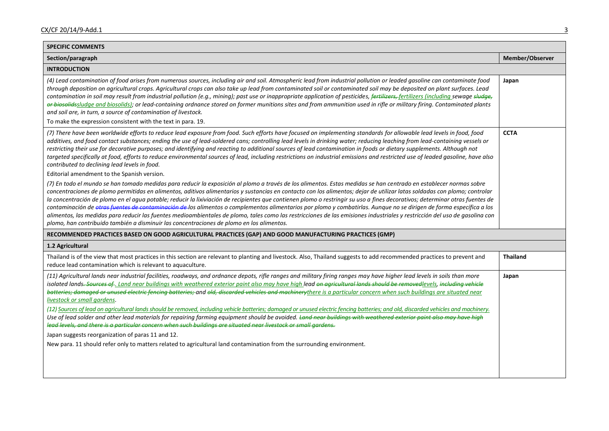| <b>SPECIFIC COMMENTS</b>                                                                                                                                                                                                                                                                                                                                                                                                                                                                                                                                                                                                                                                                                                                                                                                                                                                                                                                                                                                                                                                                                                                                                                                                                  |                 |
|-------------------------------------------------------------------------------------------------------------------------------------------------------------------------------------------------------------------------------------------------------------------------------------------------------------------------------------------------------------------------------------------------------------------------------------------------------------------------------------------------------------------------------------------------------------------------------------------------------------------------------------------------------------------------------------------------------------------------------------------------------------------------------------------------------------------------------------------------------------------------------------------------------------------------------------------------------------------------------------------------------------------------------------------------------------------------------------------------------------------------------------------------------------------------------------------------------------------------------------------|-----------------|
| Section/paragraph                                                                                                                                                                                                                                                                                                                                                                                                                                                                                                                                                                                                                                                                                                                                                                                                                                                                                                                                                                                                                                                                                                                                                                                                                         | Member/Observer |
| <b>INTRODUCTION</b>                                                                                                                                                                                                                                                                                                                                                                                                                                                                                                                                                                                                                                                                                                                                                                                                                                                                                                                                                                                                                                                                                                                                                                                                                       |                 |
| (4) Lead contamination of food arises from numerous sources, including air and soil. Atmospheric lead from industrial pollution or leaded gasoline can contaminate food<br>through deposition on agricultural crops. Agricultural crops can also take up lead from contaminated soil or contaminated soil may be deposited on plant surfaces. Lead<br>contamination in soil may result from industrial pollution (e.g., mining); past use or inappropriate application of pesticides, fertilizers, fertilizers (including sewage sludge,<br>er bieselidssludge and biosolids); or lead-containing ordnance stored on former munitions sites and from ammunition used in rifle or military firing. Contaminated plants<br>and soil are, in turn, a source of contamination of livestock.<br>To make the expression consistent with the text in para. 19.                                                                                                                                                                                                                                                                                                                                                                                   | Japan           |
|                                                                                                                                                                                                                                                                                                                                                                                                                                                                                                                                                                                                                                                                                                                                                                                                                                                                                                                                                                                                                                                                                                                                                                                                                                           |                 |
| (7) There have been worldwide efforts to reduce lead exposure from food. Such efforts have focused on implementing standards for allowable lead levels in food, food<br>additives, and food contact substances; ending the use of lead-soldered cans; controlling lead levels in drinking water; reducing leaching from lead-containing vessels or<br>restricting their use for decorative purposes; and identifying and reacting to additional sources of lead contamination in foods or dietary supplements. Although not<br>targeted specifically at food, efforts to reduce environmental sources of lead, including restrictions on industrial emissions and restricted use of leaded gasoline, have also<br>contributed to declining lead levels in food.                                                                                                                                                                                                                                                                                                                                                                                                                                                                           | <b>CCTA</b>     |
| Editorial amendment to the Spanish version.                                                                                                                                                                                                                                                                                                                                                                                                                                                                                                                                                                                                                                                                                                                                                                                                                                                                                                                                                                                                                                                                                                                                                                                               |                 |
| (7) En todo el mundo se han tomado medidas para reducir la exposición al plomo a través de los alimentos. Estas medidas se han centrado en establecer normas sobre<br>concentraciones de plomo permitidas en alimentos, aditivos alimentarios y sustancias en contacto con los alimentos; dejar de utilizar latas soldadas con plomo; controlar<br>la concentración de plomo en el agua potable; reducir la lixiviación de recipientes que contienen plomo o restringir su uso a fines decorativos; determinar otras fuentes de<br>contaminación de etras fuentes de contaminación de los alimentos o complementos alimentarios por plomo y combatirlas. Aunque no se dirigen de forma específica a los<br>alimentos, las medidas para reducir las fuentes medioambientales de plomo, tales como las restricciones de las emisiones industriales y restricción del uso de gasolina con<br>plomo, han contribuido también a disminuir las concentraciones de plomo en los alimentos.                                                                                                                                                                                                                                                       |                 |
| RECOMMENDED PRACTICES BASED ON GOOD AGRICULTURAL PRACTICES (GAP) AND GOOD MANUFACTURING PRACTICES (GMP)                                                                                                                                                                                                                                                                                                                                                                                                                                                                                                                                                                                                                                                                                                                                                                                                                                                                                                                                                                                                                                                                                                                                   |                 |
| 1.2 Agricultural                                                                                                                                                                                                                                                                                                                                                                                                                                                                                                                                                                                                                                                                                                                                                                                                                                                                                                                                                                                                                                                                                                                                                                                                                          |                 |
| Thailand is of the view that most practices in this section are relevant to planting and livestock. Also, Thailand suggests to add recommended practices to prevent and<br>reduce lead contamination which is relevant to aquaculture.                                                                                                                                                                                                                                                                                                                                                                                                                                                                                                                                                                                                                                                                                                                                                                                                                                                                                                                                                                                                    | <b>Thailand</b> |
| (11) Agricultural lands near industrial facilities, roadways, and ordnance depots, rifle ranges and military firing ranges may have higher lead levels in soils than more<br>isolated lands <del>. Sources of</del> , Land near buildings with weathered exterior paint also may have high lead on agricultural lands should be removedlevels, including vehicle<br>batteries; damaged or unused electric fencing batteries; and old, discarded vehicles and machinerythere is a particular concern when such buildings are situated near<br>livestock or small gardens.<br>(12) Sources of lead on agricultural lands should be removed, including vehicle batteries; damaged or unused electric fencing batteries; and old, discarded vehicles and machinery.<br>Use of lead solder and other lead materials for repairing farming equipment should be avoided. Land near buildings with weathered exterior paint also may have high<br>lead levels, and there is a particular concern when such buildings are situated near livestock or small gardens.<br>Japan suggests reorganization of paras 11 and 12.<br>New para. 11 should refer only to matters related to agricultural land contamination from the surrounding environment. | Japan           |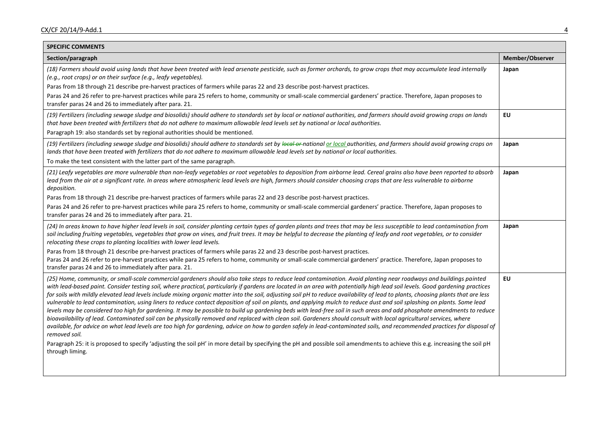| <b>SPECIFIC COMMENTS</b>                                                                                                                                                                                                                                                                                                                                                                                                                                                                                                                                                                                                                                                                                                                                                                                                                                                                                                                                                                                                                                                                                                                                                                                                                                                                                                                                                                                                                                                 |                 |
|--------------------------------------------------------------------------------------------------------------------------------------------------------------------------------------------------------------------------------------------------------------------------------------------------------------------------------------------------------------------------------------------------------------------------------------------------------------------------------------------------------------------------------------------------------------------------------------------------------------------------------------------------------------------------------------------------------------------------------------------------------------------------------------------------------------------------------------------------------------------------------------------------------------------------------------------------------------------------------------------------------------------------------------------------------------------------------------------------------------------------------------------------------------------------------------------------------------------------------------------------------------------------------------------------------------------------------------------------------------------------------------------------------------------------------------------------------------------------|-----------------|
| Section/paragraph                                                                                                                                                                                                                                                                                                                                                                                                                                                                                                                                                                                                                                                                                                                                                                                                                                                                                                                                                                                                                                                                                                                                                                                                                                                                                                                                                                                                                                                        | Member/Observer |
| (18) Farmers should avoid using lands that have been treated with lead arsenate pesticide, such as former orchards, to grow crops that may accumulate lead internally<br>(e.g., root crops) or on their surface (e.g., leafy vegetables).                                                                                                                                                                                                                                                                                                                                                                                                                                                                                                                                                                                                                                                                                                                                                                                                                                                                                                                                                                                                                                                                                                                                                                                                                                | Japan           |
| Paras from 18 through 21 describe pre-harvest practices of farmers while paras 22 and 23 describe post-harvest practices.                                                                                                                                                                                                                                                                                                                                                                                                                                                                                                                                                                                                                                                                                                                                                                                                                                                                                                                                                                                                                                                                                                                                                                                                                                                                                                                                                |                 |
| Paras 24 and 26 refer to pre-harvest practices while para 25 refers to home, community or small-scale commercial gardeners' practice. Therefore, Japan proposes to<br>transfer paras 24 and 26 to immediately after para. 21.                                                                                                                                                                                                                                                                                                                                                                                                                                                                                                                                                                                                                                                                                                                                                                                                                                                                                                                                                                                                                                                                                                                                                                                                                                            |                 |
| (19) Fertilizers (including sewage sludge and biosolids) should adhere to standards set by local or national authorities, and farmers should avoid growing crops on lands<br>that have been treated with fertilizers that do not adhere to maximum allowable lead levels set by national or local authorities.                                                                                                                                                                                                                                                                                                                                                                                                                                                                                                                                                                                                                                                                                                                                                                                                                                                                                                                                                                                                                                                                                                                                                           | EU              |
| Paragraph 19: also standards set by regional authorities should be mentioned.                                                                                                                                                                                                                                                                                                                                                                                                                                                                                                                                                                                                                                                                                                                                                                                                                                                                                                                                                                                                                                                                                                                                                                                                                                                                                                                                                                                            |                 |
| (19) Fertilizers (including sewage sludge and biosolids) should adhere to standards set by local-or-national or local authorities, and farmers should avoid growing crops on<br>lands that have been treated with fertilizers that do not adhere to maximum allowable lead levels set by national or local authorities.                                                                                                                                                                                                                                                                                                                                                                                                                                                                                                                                                                                                                                                                                                                                                                                                                                                                                                                                                                                                                                                                                                                                                  | Japan           |
| To make the text consistent with the latter part of the same paragraph.                                                                                                                                                                                                                                                                                                                                                                                                                                                                                                                                                                                                                                                                                                                                                                                                                                                                                                                                                                                                                                                                                                                                                                                                                                                                                                                                                                                                  |                 |
| (21) Leafy vegetables are more vulnerable than non-leafy vegetables or root vegetables to deposition from airborne lead. Cereal grains also have been reported to absorb<br>lead from the air at a significant rate. In areas where atmospheric lead levels are high, farmers should consider choosing crops that are less vulnerable to airborne<br>deposition.                                                                                                                                                                                                                                                                                                                                                                                                                                                                                                                                                                                                                                                                                                                                                                                                                                                                                                                                                                                                                                                                                                         | Japan           |
| Paras from 18 through 21 describe pre-harvest practices of farmers while paras 22 and 23 describe post-harvest practices.                                                                                                                                                                                                                                                                                                                                                                                                                                                                                                                                                                                                                                                                                                                                                                                                                                                                                                                                                                                                                                                                                                                                                                                                                                                                                                                                                |                 |
| Paras 24 and 26 refer to pre-harvest practices while para 25 refers to home, community or small-scale commercial gardeners' practice. Therefore, Japan proposes to<br>transfer paras 24 and 26 to immediately after para. 21.                                                                                                                                                                                                                                                                                                                                                                                                                                                                                                                                                                                                                                                                                                                                                                                                                                                                                                                                                                                                                                                                                                                                                                                                                                            |                 |
| (24) In areas known to have higher lead levels in soil, consider planting certain types of garden plants and trees that may be less susceptible to lead contamination from<br>soil including fruiting vegetables, vegetables that grow on vines, and fruit trees. It may be helpful to decrease the planting of leafy and root vegetables, or to consider<br>relocating these crops to planting localities with lower lead levels.                                                                                                                                                                                                                                                                                                                                                                                                                                                                                                                                                                                                                                                                                                                                                                                                                                                                                                                                                                                                                                       | Japan           |
| Paras from 18 through 21 describe pre-harvest practices of farmers while paras 22 and 23 describe post-harvest practices.                                                                                                                                                                                                                                                                                                                                                                                                                                                                                                                                                                                                                                                                                                                                                                                                                                                                                                                                                                                                                                                                                                                                                                                                                                                                                                                                                |                 |
| Paras 24 and 26 refer to pre-harvest practices while para 25 refers to home, community or small-scale commercial gardeners' practice. Therefore, Japan proposes to<br>transfer paras 24 and 26 to immediately after para. 21.                                                                                                                                                                                                                                                                                                                                                                                                                                                                                                                                                                                                                                                                                                                                                                                                                                                                                                                                                                                                                                                                                                                                                                                                                                            |                 |
| (25) Home, community, or small-scale commercial gardeners should also take steps to reduce lead contamination. Avoid planting near roadways and buildings painted<br>with lead-based paint. Consider testing soil, where practical, particularly if gardens are located in an area with potentially high lead soil levels. Good gardening practices<br>for soils with mildly elevated lead levels include mixing organic matter into the soil, adjusting soil pH to reduce availability of lead to plants, choosing plants that are less<br>vulnerable to lead contamination, using liners to reduce contact deposition of soil on plants, and applying mulch to reduce dust and soil splashing on plants. Some lead<br>levels may be considered too high for gardening. It may be possible to build up gardening beds with lead-free soil in such areas and add phosphate amendments to reduce<br>bioavailability of lead. Contaminated soil can be physically removed and replaced with clean soil. Gardeners should consult with local agricultural services, where<br>available, for advice on what lead levels are too high for gardening, advice on how to garden safely in lead-contaminated soils, and recommended practices for disposal of<br>removed soil.<br>Paragraph 25: it is proposed to specify 'adjusting the soil pH' in more detail by specifying the pH and possible soil amendments to achieve this e.g. increasing the soil pH<br>through liming. | <b>EU</b>       |
|                                                                                                                                                                                                                                                                                                                                                                                                                                                                                                                                                                                                                                                                                                                                                                                                                                                                                                                                                                                                                                                                                                                                                                                                                                                                                                                                                                                                                                                                          |                 |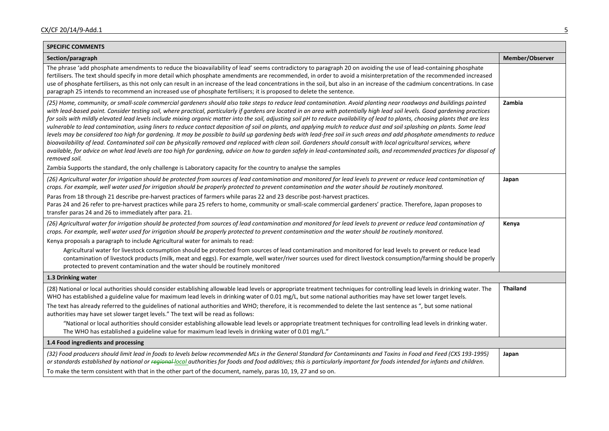| <b>SPECIFIC COMMENTS</b>                                                                                                                                                                                                                                                                                                                                                                                                                                                                                                                                                                                                                                                                                                                                                                                                                                                                                                                                                                                                                                                                                                                                                                                                                                              |                 |
|-----------------------------------------------------------------------------------------------------------------------------------------------------------------------------------------------------------------------------------------------------------------------------------------------------------------------------------------------------------------------------------------------------------------------------------------------------------------------------------------------------------------------------------------------------------------------------------------------------------------------------------------------------------------------------------------------------------------------------------------------------------------------------------------------------------------------------------------------------------------------------------------------------------------------------------------------------------------------------------------------------------------------------------------------------------------------------------------------------------------------------------------------------------------------------------------------------------------------------------------------------------------------|-----------------|
| Section/paragraph                                                                                                                                                                                                                                                                                                                                                                                                                                                                                                                                                                                                                                                                                                                                                                                                                                                                                                                                                                                                                                                                                                                                                                                                                                                     | Member/Observer |
| The phrase 'add phosphate amendments to reduce the bioavailability of lead' seems contradictory to paragraph 20 on avoiding the use of lead-containing phosphate<br>fertilisers. The text should specify in more detail which phosphate amendments are recommended, in order to avoid a misinterpretation of the recommended increased<br>use of phosphate fertilisers, as this not only can result in an increase of the lead concentrations in the soil, but also in an increase of the cadmium concentrations. In case<br>paragraph 25 intends to recommend an increased use of phosphate fertilisers; it is proposed to delete the sentence.                                                                                                                                                                                                                                                                                                                                                                                                                                                                                                                                                                                                                      |                 |
| (25) Home, community, or small-scale commercial gardeners should also take steps to reduce lead contamination. Avoid planting near roadways and buildings painted<br>with lead-based paint. Consider testing soil, where practical, particularly if gardens are located in an area with potentially high lead soil levels. Good gardening practices<br>for soils with mildly elevated lead levels include mixing organic matter into the soil, adjusting soil pH to reduce availability of lead to plants, choosing plants that are less<br>vulnerable to lead contamination, using liners to reduce contact deposition of soil on plants, and applying mulch to reduce dust and soil splashing on plants. Some lead<br>levels may be considered too high for gardening. It may be possible to build up gardening beds with lead-free soil in such areas and add phosphate amendments to reduce<br>bioavailability of lead. Contaminated soil can be physically removed and replaced with clean soil. Gardeners should consult with local agricultural services, where<br>available, for advice on what lead levels are too high for gardening, advice on how to garden safely in lead-contaminated soils, and recommended practices for disposal of<br>removed soil. | Zambia          |
| Zambia Supports the standard, the only challenge is Laboratory capacity for the country to analyse the samples                                                                                                                                                                                                                                                                                                                                                                                                                                                                                                                                                                                                                                                                                                                                                                                                                                                                                                                                                                                                                                                                                                                                                        |                 |
| (26) Agricultural water for irrigation should be protected from sources of lead contamination and monitored for lead levels to prevent or reduce lead contamination of<br>crops. For example, well water used for irrigation should be properly protected to prevent contamination and the water should be routinely monitored.                                                                                                                                                                                                                                                                                                                                                                                                                                                                                                                                                                                                                                                                                                                                                                                                                                                                                                                                       | Japan           |
| Paras from 18 through 21 describe pre-harvest practices of farmers while paras 22 and 23 describe post-harvest practices.<br>Paras 24 and 26 refer to pre-harvest practices while para 25 refers to home, community or small-scale commercial gardeners' practice. Therefore, Japan proposes to<br>transfer paras 24 and 26 to immediately after para. 21.                                                                                                                                                                                                                                                                                                                                                                                                                                                                                                                                                                                                                                                                                                                                                                                                                                                                                                            |                 |
| (26) Agricultural water for irrigation should be protected from sources of lead contamination and monitored for lead levels to prevent or reduce lead contamination of<br>crops. For example, well water used for irrigation should be properly protected to prevent contamination and the water should be routinely monitored.                                                                                                                                                                                                                                                                                                                                                                                                                                                                                                                                                                                                                                                                                                                                                                                                                                                                                                                                       | Kenya           |
| Kenya proposals a paragraph to include Agricultural water for animals to read:                                                                                                                                                                                                                                                                                                                                                                                                                                                                                                                                                                                                                                                                                                                                                                                                                                                                                                                                                                                                                                                                                                                                                                                        |                 |
| Agricultural water for livestock consumption should be protected from sources of lead contamination and monitored for lead levels to prevent or reduce lead<br>contamination of livestock products (milk, meat and eggs). For example, well water/river sources used for direct livestock consumption/farming should be properly<br>protected to prevent contamination and the water should be routinely monitored                                                                                                                                                                                                                                                                                                                                                                                                                                                                                                                                                                                                                                                                                                                                                                                                                                                    |                 |
| 1.3 Drinking water                                                                                                                                                                                                                                                                                                                                                                                                                                                                                                                                                                                                                                                                                                                                                                                                                                                                                                                                                                                                                                                                                                                                                                                                                                                    |                 |
| (28) National or local authorities should consider establishing allowable lead levels or appropriate treatment techniques for controlling lead levels in drinking water. The<br>WHO has established a guideline value for maximum lead levels in drinking water of 0.01 mg/L, but some national authorities may have set lower target levels.                                                                                                                                                                                                                                                                                                                                                                                                                                                                                                                                                                                                                                                                                                                                                                                                                                                                                                                         | <b>Thailand</b> |
| The text has already referred to the guidelines of national authorities and WHO; therefore, it is recommended to delete the last sentence as ", but some national<br>authorities may have set slower target levels." The text will be read as follows:                                                                                                                                                                                                                                                                                                                                                                                                                                                                                                                                                                                                                                                                                                                                                                                                                                                                                                                                                                                                                |                 |
| "National or local authorities should consider establishing allowable lead levels or appropriate treatment techniques for controlling lead levels in drinking water.<br>The WHO has established a guideline value for maximum lead levels in drinking water of 0.01 mg/L."                                                                                                                                                                                                                                                                                                                                                                                                                                                                                                                                                                                                                                                                                                                                                                                                                                                                                                                                                                                            |                 |
| 1.4 Food ingredients and processing                                                                                                                                                                                                                                                                                                                                                                                                                                                                                                                                                                                                                                                                                                                                                                                                                                                                                                                                                                                                                                                                                                                                                                                                                                   |                 |
| (32) Food producers should limit lead in foods to levels below recommended MLs in the General Standard for Contaminants and Toxins in Food and Feed (CXS 193-1995)<br>or standards established by national or regional-local authorities for foods and food additives; this is particularly important for foods intended for infants and children.<br>To make the term consistent with that in the other part of the document, namely, paras 10, 19, 27 and so on.                                                                                                                                                                                                                                                                                                                                                                                                                                                                                                                                                                                                                                                                                                                                                                                                    | Japan           |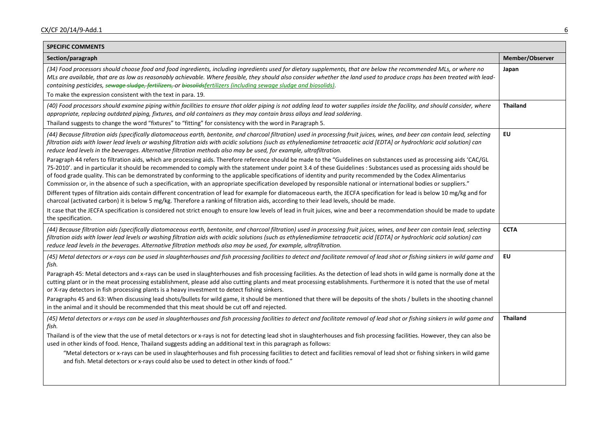| <b>SPECIFIC COMMENTS</b>                                                                                                                                                                                                                                                                                                                                                                                                                                                                                                                                                                                                                                                                                                                                                                                                                                                                                                                                                                                                                                                                                                                                                                                                                                                                                                                                                                                                                                                                                                                                                                                                                                                           |                 |
|------------------------------------------------------------------------------------------------------------------------------------------------------------------------------------------------------------------------------------------------------------------------------------------------------------------------------------------------------------------------------------------------------------------------------------------------------------------------------------------------------------------------------------------------------------------------------------------------------------------------------------------------------------------------------------------------------------------------------------------------------------------------------------------------------------------------------------------------------------------------------------------------------------------------------------------------------------------------------------------------------------------------------------------------------------------------------------------------------------------------------------------------------------------------------------------------------------------------------------------------------------------------------------------------------------------------------------------------------------------------------------------------------------------------------------------------------------------------------------------------------------------------------------------------------------------------------------------------------------------------------------------------------------------------------------|-----------------|
| Section/paragraph                                                                                                                                                                                                                                                                                                                                                                                                                                                                                                                                                                                                                                                                                                                                                                                                                                                                                                                                                                                                                                                                                                                                                                                                                                                                                                                                                                                                                                                                                                                                                                                                                                                                  | Member/Observer |
| (34) Food processors should choose food and food ingredients, including ingredients used for dietary supplements, that are below the recommended MLs, or where no<br>MLs are available, that are as low as reasonably achievable. Where feasible, they should also consider whether the land used to produce crops has been treated with lead-<br>containing pesticides, sewage sludge, fertilizers, or biosolidsfertilizers (including sewage sludge and biosolids).<br>To make the expression consistent with the text in para. 19.                                                                                                                                                                                                                                                                                                                                                                                                                                                                                                                                                                                                                                                                                                                                                                                                                                                                                                                                                                                                                                                                                                                                              | Japan           |
| (40) Food processors should examine piping within facilities to ensure that older piping is not adding lead to water supplies inside the facility, and should consider, where<br>appropriate, replacing outdated piping, fixtures, and old containers as they may contain brass alloys and lead soldering.<br>Thailand suggests to change the word "fixtures" to "fitting" for consistency with the word in Paragraph 5.                                                                                                                                                                                                                                                                                                                                                                                                                                                                                                                                                                                                                                                                                                                                                                                                                                                                                                                                                                                                                                                                                                                                                                                                                                                           | <b>Thailand</b> |
| (44) Because filtration aids (specifically diatomaceous earth, bentonite, and charcoal filtration) used in processing fruit juices, wines, and beer can contain lead, selecting<br>filtration aids with lower lead levels or washing filtration aids with acidic solutions (such as ethylenediamine tetraacetic acid [EDTA] or hydrochloric acid solution) can<br>reduce lead levels in the beverages. Alternative filtration methods also may be used, for example, ultrafiltration.<br>Paragraph 44 refers to filtration aids, which are processing aids. Therefore reference should be made to the "Guidelines on substances used as processing aids 'CAC/GL<br>75-2010'. and in particular it should be recommended to comply with the statement under point 3.4 of these Guidelines : Substances used as processing aids should be<br>of food grade quality. This can be demonstrated by conforming to the applicable specifications of identity and purity recommended by the Codex Alimentarius<br>Commission or, in the absence of such a specification, with an appropriate specification developed by responsible national or international bodies or suppliers."<br>Different types of filtration aids contain different concentration of lead for example for diatomaceous earth, the JECFA specification for lead is below 10 mg/kg and for<br>charcoal (activated carbon) it is below 5 mg/kg. Therefore a ranking of filtration aids, according to their lead levels, should be made.<br>It case that the JECFA specification is considered not strict enough to ensure low levels of lead in fruit juices, wine and beer a recommendation should be made to update | EU              |
| the specification.                                                                                                                                                                                                                                                                                                                                                                                                                                                                                                                                                                                                                                                                                                                                                                                                                                                                                                                                                                                                                                                                                                                                                                                                                                                                                                                                                                                                                                                                                                                                                                                                                                                                 |                 |
| (44) Because filtration aids (specifically diatomaceous earth, bentonite, and charcoal filtration) used in processing fruit juices, wines, and beer can contain lead, selecting<br>filtration aids with lower lead levels or washing filtration aids with acidic solutions (such as ethylenediamine tetraacetic acid [EDTA] or hydrochloric acid solution) can<br>reduce lead levels in the beverages. Alternative filtration methods also may be used, for example, ultrafiltration.                                                                                                                                                                                                                                                                                                                                                                                                                                                                                                                                                                                                                                                                                                                                                                                                                                                                                                                                                                                                                                                                                                                                                                                              | <b>CCTA</b>     |
| (45) Metal detectors or x-rays can be used in slaughterhouses and fish processing facilities to detect and facilitate removal of lead shot or fishing sinkers in wild game and<br>fish.<br>Paragraph 45: Metal detectors and x-rays can be used in slaughterhouses and fish processing facilities. As the detection of lead shots in wild game is normally done at the<br>cutting plant or in the meat processing establishment, please add also cutting plants and meat processing establishments. Furthermore it is noted that the use of metal<br>or X-ray detectors in fish processing plants is a heavy investment to detect fishing sinkers.<br>Paragraphs 45 and 63: When discussing lead shots/bullets for wild game, it should be mentioned that there will be deposits of the shots / bullets in the shooting channel<br>in the animal and it should be recommended that this meat should be cut off and rejected.                                                                                                                                                                                                                                                                                                                                                                                                                                                                                                                                                                                                                                                                                                                                                       | EU              |
| (45) Metal detectors or x-rays can be used in slaughterhouses and fish processing facilities to detect and facilitate removal of lead shot or fishing sinkers in wild game and<br>fish.<br>Thailand is of the view that the use of metal detectors or x-rays is not for detecting lead shot in slaughterhouses and fish processing facilities. However, they can also be<br>used in other kinds of food. Hence, Thailand suggests adding an additional text in this paragraph as follows:<br>"Metal detectors or x-rays can be used in slaughterhouses and fish processing facilities to detect and facilities removal of lead shot or fishing sinkers in wild game<br>and fish. Metal detectors or x-rays could also be used to detect in other kinds of food."                                                                                                                                                                                                                                                                                                                                                                                                                                                                                                                                                                                                                                                                                                                                                                                                                                                                                                                   | <b>Thailand</b> |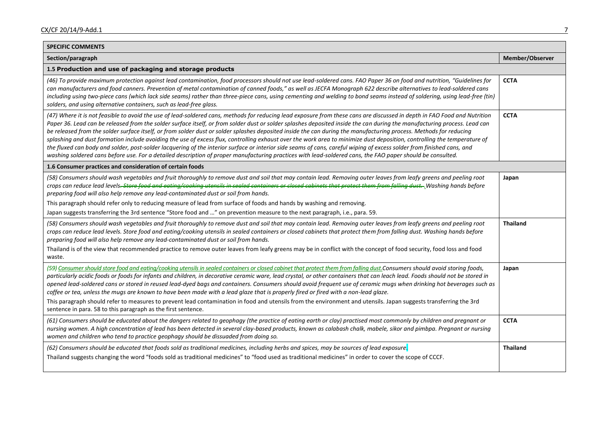| <b>SPECIFIC COMMENTS</b>                                                                                                                                                                                                                                                                                                                                                                                                                                                                                                                                                                                                                                                                                                                                                                                                                                                                                                                                                                                                                         |                 |
|--------------------------------------------------------------------------------------------------------------------------------------------------------------------------------------------------------------------------------------------------------------------------------------------------------------------------------------------------------------------------------------------------------------------------------------------------------------------------------------------------------------------------------------------------------------------------------------------------------------------------------------------------------------------------------------------------------------------------------------------------------------------------------------------------------------------------------------------------------------------------------------------------------------------------------------------------------------------------------------------------------------------------------------------------|-----------------|
| Section/paragraph                                                                                                                                                                                                                                                                                                                                                                                                                                                                                                                                                                                                                                                                                                                                                                                                                                                                                                                                                                                                                                | Member/Observer |
| 1.5 Production and use of packaging and storage products                                                                                                                                                                                                                                                                                                                                                                                                                                                                                                                                                                                                                                                                                                                                                                                                                                                                                                                                                                                         |                 |
| (46) To provide maximum protection against lead contamination, food processors should not use lead-soldered cans. FAO Paper 36 on food and nutrition, "Guidelines for<br>can manufacturers and food canners. Prevention of metal contamination of canned foods," as well as JECFA Monograph 622 describe alternatives to lead-soldered cans<br>including using two-piece cans (which lack side seams) rather than three-piece cans, using cementing and welding to bond seams instead of soldering, using lead-free (tin)<br>solders, and using alternative containers, such as lead-free glass.                                                                                                                                                                                                                                                                                                                                                                                                                                                 | <b>CCTA</b>     |
| (47) Where it is not feasible to avoid the use of lead-soldered cans, methods for reducing lead exposure from these cans are discussed in depth in FAO Food and Nutrition<br>Paper 36. Lead can be released from the solder surface itself, or from solder dust or solder splashes deposited inside the can during the manufacturing process. Lead can<br>be released from the solder surface itself, or from solder dust or solder splashes deposited inside the can during the manufacturing process. Methods for reducing<br>splashing and dust formation include avoiding the use of excess flux, controlling exhaust over the work area to minimize dust deposition, controlling the temperature of<br>the fluxed can body and solder, post-solder lacquering of the interior surface or interior side seams of cans, careful wiping of excess solder from finished cans, and<br>washing soldered cans before use. For a detailed description of proper manufacturing practices with lead-soldered cans, the FAO paper should be consulted. | <b>CCTA</b>     |
| 1.6 Consumer practices and consideration of certain foods                                                                                                                                                                                                                                                                                                                                                                                                                                                                                                                                                                                                                                                                                                                                                                                                                                                                                                                                                                                        |                 |
| (58) Consumers should wash vegetables and fruit thoroughly to remove dust and soil that may contain lead. Removing outer leaves from leafy greens and peeling root<br>crops can reduce lead levels <del>. Store food and eating/cooking utensils in sealed containers or closed cabinets that protect them from falling dust. Washing hands before</del><br>preparing food will also help remove any lead-contaminated dust or soil from hands.<br>This paragraph should refer only to reducing measure of lead from surface of foods and hands by washing and removing.<br>Japan suggests transferring the 3rd sentence "Store food and " on prevention measure to the next paragraph, i.e., para. 59.                                                                                                                                                                                                                                                                                                                                          | Japan           |
| (58) Consumers should wash vegetables and fruit thoroughly to remove dust and soil that may contain lead. Removing outer leaves from leafy greens and peeling root<br>crops can reduce lead levels. Store food and eating/cooking utensils in sealed containers or closed cabinets that protect them from falling dust. Washing hands before<br>preparing food will also help remove any lead-contaminated dust or soil from hands.<br>Thailand is of the view that recommended practice to remove outer leaves from leafy greens may be in conflict with the concept of food security, food loss and food                                                                                                                                                                                                                                                                                                                                                                                                                                       | <b>Thailand</b> |
| waste.                                                                                                                                                                                                                                                                                                                                                                                                                                                                                                                                                                                                                                                                                                                                                                                                                                                                                                                                                                                                                                           |                 |
| (59) Consumer should store food and eating/cooking utensils in sealed containers or closed cabinet that protect them from falling dust. Consumers should avoid storing foods,<br>particularly acidic foods or foods for infants and children, in decorative ceramic ware, lead crystal, or other containers that can leach lead. Foods should not be stored in<br>opened lead-soldered cans or stored in reused lead-dyed bags and containers. Consumers should avoid frequent use of ceramic mugs when drinking hot beverages such as<br>coffee or tea, unless the mugs are known to have been made with a lead glaze that is properly fired or fired with a non-lead glaze.<br>This paragraph should refer to measures to prevent lead contamination in food and utensils from the environment and utensils. Japan suggests transferring the 3rd                                                                                                                                                                                               | Japan           |
| sentence in para. 58 to this paragraph as the first sentence.                                                                                                                                                                                                                                                                                                                                                                                                                                                                                                                                                                                                                                                                                                                                                                                                                                                                                                                                                                                    |                 |
| (61) Consumers should be educated about the dangers related to geophagy (the practice of eating earth or clay) practised most commonly by children and pregnant or<br>nursing women. A high concentration of lead has been detected in several clay-based products, known as calabash chalk, mabele, sikor and pimbpa. Pregnant or nursing<br>women and children who tend to practice geophagy should be dissuaded from doing so.                                                                                                                                                                                                                                                                                                                                                                                                                                                                                                                                                                                                                | <b>CCTA</b>     |
| (62) Consumers should be educated that foods sold as traditional medicines, including herbs and spices, may be sources of lead exposure.                                                                                                                                                                                                                                                                                                                                                                                                                                                                                                                                                                                                                                                                                                                                                                                                                                                                                                         | <b>Thailand</b> |
| Thailand suggests changing the word "foods sold as traditional medicines" to "food used as traditional medicines" in order to cover the scope of CCCF.                                                                                                                                                                                                                                                                                                                                                                                                                                                                                                                                                                                                                                                                                                                                                                                                                                                                                           |                 |